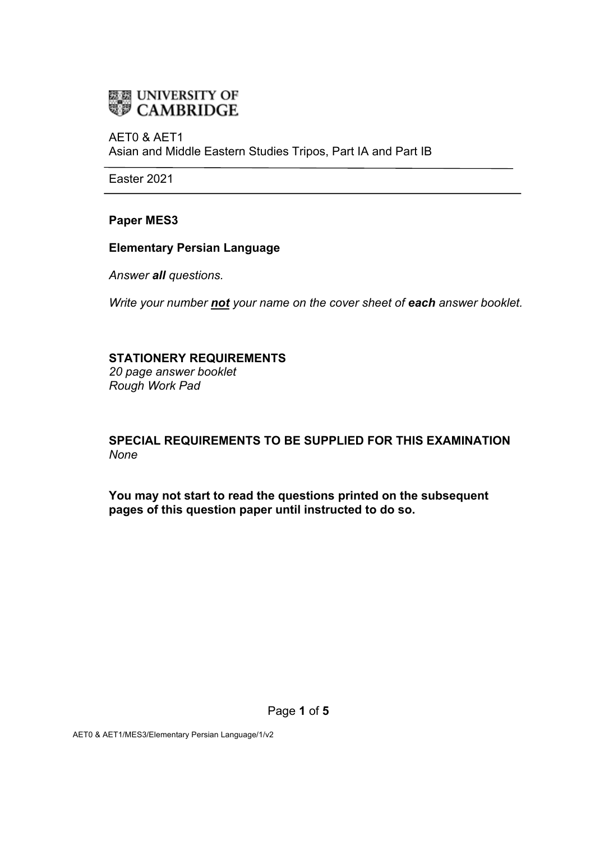

AET0 & AET1 Asian and Middle Eastern Studies Tripos, Part IA and Part IB

Easter 2021

**Paper MES3** 

### **Elementary Persian Language**

*Answer all questions.*

*Write your number not your name on the cover sheet of each answer booklet.*

### **STATIONERY REQUIREMENTS**

*20 page answer booklet Rough Work Pad* 

**SPECIAL REQUIREMENTS TO BE SUPPLIED FOR THIS EXAMINATION** *None*

**You may not start to read the questions printed on the subsequent pages of this question paper until instructed to do so.**

AET0 & AET1/MES3/Elementary Persian Language/1/v2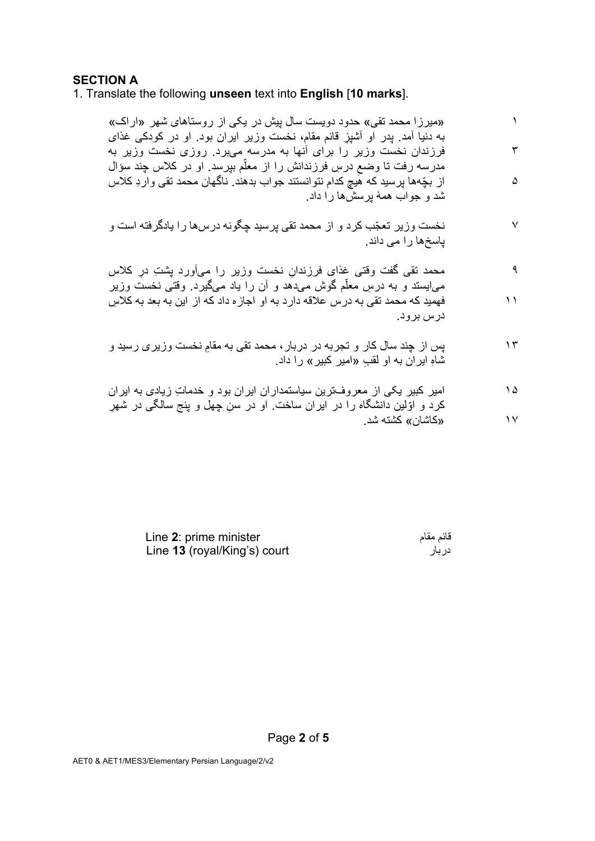## **SECTION A**

1. Translate the following **unseen** text into **English** [**10 marks**].

| «میرزا محمد تقی» حدود دویست سال پیش در یکی از روستاهای شهر «اراک»                                                                                                                                                      |          |
|------------------------------------------------------------------------------------------------------------------------------------------------------------------------------------------------------------------------|----------|
| به دنیا آمد. پدر او أشپز قائم مقام، نخست وزیر ابران بود. او در کودکی غذای<br>فرزندان نخست وزیر را برای انها به مدرسه میبرد. روزی نخست وزیر به<br>مدرسه رفت نا وضع درسِ فرزندانش را از معلم بپرسد ِ او در کلاس چند سؤال | ٣        |
| از بچّهها پرسید که هیچ کدام نتوانستند جواب بدهند. ناگهان محمد تقی واردِ کلاس<br>شد و جواب همهٔ پرسشها را داد.                                                                                                          | $\Delta$ |
| نخست وزیر تعجّب کرد و از محمد تقی پرسید چگونه درس۵ها را یادگرفته است و<br>پاسخها را می داند.                                                                                                                           | ٧        |
| محمد تقی گفت وقتی غذای فرزندانِ نخست وزیر را میأورد پشتِ درِ کلاس<br>میایستد و به درسِ معلم گوش میدهد و آن را یاد میگیرد. وقتی نخست وزیر                                                                               |          |
| فهمید که محمد تقی به درس علاقه دارد به او اجازه داد که از این به بعد به کلاسِ<br>درس برود.                                                                                                                             | ۱۱       |
| پس از چند سال کار و تجربه در دربار، محمد تقی به مقامِ نخست وزیری رسید و<br>شاهِ ایران به او لقبِ «امیر کبیر» را داد.                                                                                                   | ۲ (      |
| امیر کبیر یکی از معروفــترین سیاستمداران ایران بود و خدماتِ زیادی به ایران<br>کرد و اوّلین دانشگاه را در ایران ساخت. او در سنِ چهل و پنج سالگی در شهرِ                                                                 | ۱۵       |
|                                                                                                                                                                                                                        |          |

١٧ « ناشاک » .دش ھتشک

| Line 2: prime minister       | قائم مقام |
|------------------------------|-----------|
| Line 13 (royal/King's) court | در بار    |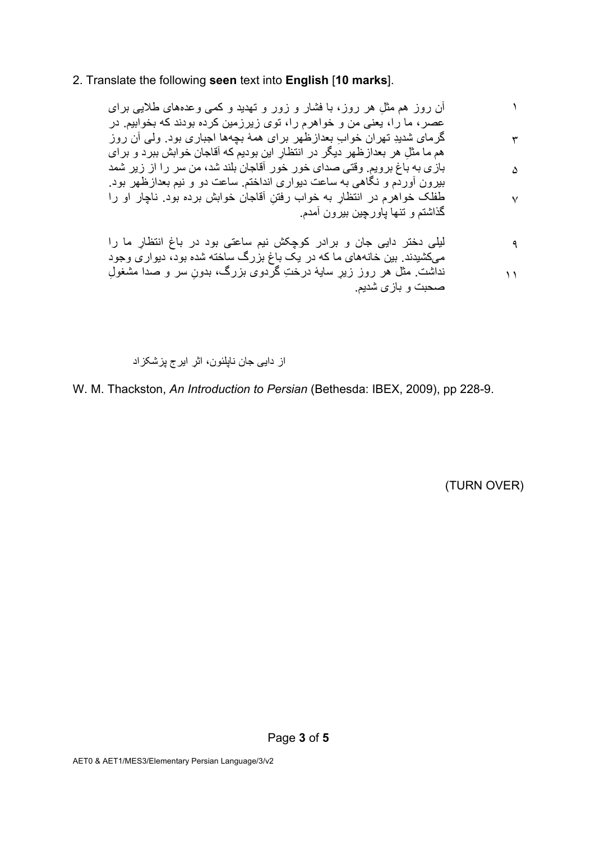# 2. Translate the following **seen** text into **English** [**10 marks**].

| آن روز هم مثلِ هر روز، با فشار و زور و تهدید و کمبی وعدههای طلایبی برای                                                                            |    |
|----------------------------------------------------------------------------------------------------------------------------------------------------|----|
| عصر، ما را، یعنی من و خواهرم را، توی زیرزمین کرده بودند که بخوابیم. در                                                                             |    |
| گرمای شدیدِ تهران خوابِ بعدازظهر برای همهٔ بچهها اجباری بود. ولی آن روز                                                                            | ٣  |
| هم ما مثلِ هر بعدازظهر دیگر در انتظارِ این بودیم که اقاجان خوابش ببرد و برای                                                                       |    |
| بازی به باغ برویم. وقتی صدای خور خور آقاجان بلند شد، من سر را از زیر شمد<br>بیرون أوردم و نگاهی به ساعت دیواری انداختم ساعت دو و نیم بعدازظهر بود. | ۵  |
| طفلک خواهرم در انتظار به خواب رفتن أقاجان خوابش برده بود. ناچار او را                                                                              | ٧  |
| گذاشتم و تنـها پاورچين بيرون أمدم.                                                                                                                 |    |
| لیلی دختر دایی جان و برادر کوچکش نیم ساعتی بود در باغ انتظار ما را                                                                                 | ٩  |
| میکشیدند. بین خانههای ما که در یک باغ بزرگ ساخته شده بود، دیواری وجود                                                                              |    |
| نداشت. مثل هر روز زیر سایهٔ درختِ گردوی بزرگ، بدونِ سر و صدا مشغولِ                                                                                | ۱۱ |
| صحبت و بازی شدیم.                                                                                                                                  |    |

از دایی جان ناپلئون، اثرِ ایرج پزشکزاد

W. M. Thackston, *An Introduction to Persian* (Bethesda: IBEX, 2009), pp 228-9.

(TURN OVER)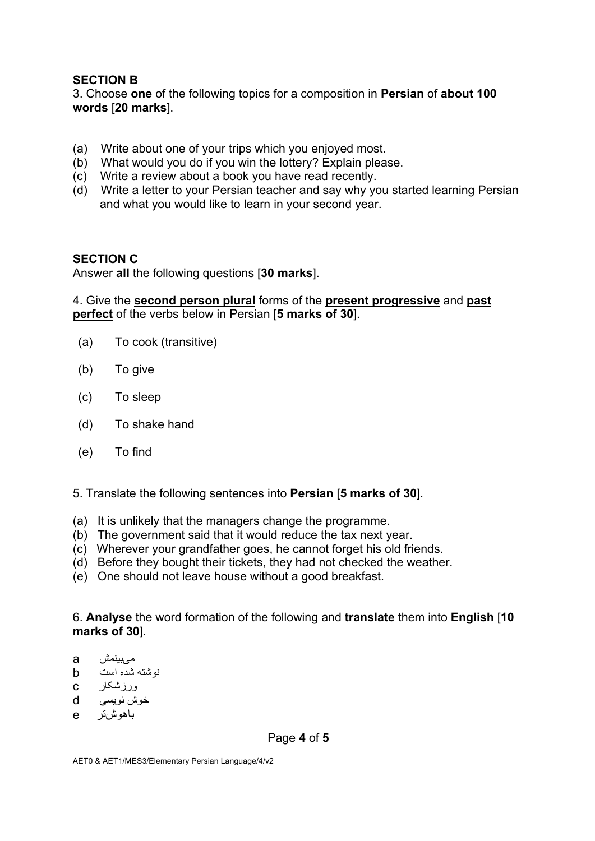## **SECTION B**

3. Choose **one** of the following topics for a composition in **Persian** of **about 100 words** [**20 marks**].

- (a) Write about one of your trips which you enjoyed most.
- (b) What would you do if you win the lottery? Explain please.
- (c) Write a review about a book you have read recently.
- (d) Write a letter to your Persian teacher and say why you started learning Persian and what you would like to learn in your second year.

## **SECTION C**

Answer **all** the following questions [**30 marks**].

4. Give the **second person plural** forms of the **present progressive** and **past perfect** of the verbs below in Persian [**5 marks of 30**].

- (a) To cook (transitive)
- (b) To give
- (c) To sleep
- (d) To shake hand
- (e) To find
- 5. Translate the following sentences into **Persian** [**5 marks of 30**].
- (a) It is unlikely that the managers change the programme.
- (b) The government said that it would reduce the tax next year.
- (c) Wherever your grandfather goes, he cannot forget his old friends.
- (d) Before they bought their tickets, they had not checked the weather.
- (e) One should not leave house without a good breakfast.

6. **Analyse** the word formation of the following and **translate** them into **English** [**10 marks of 30**].

- یم شمنیب a
- نوشته شده است **b**
- راکشزرو c
- ن فوش نویسی d
- شوھاب رت e

Page **4** of **5**